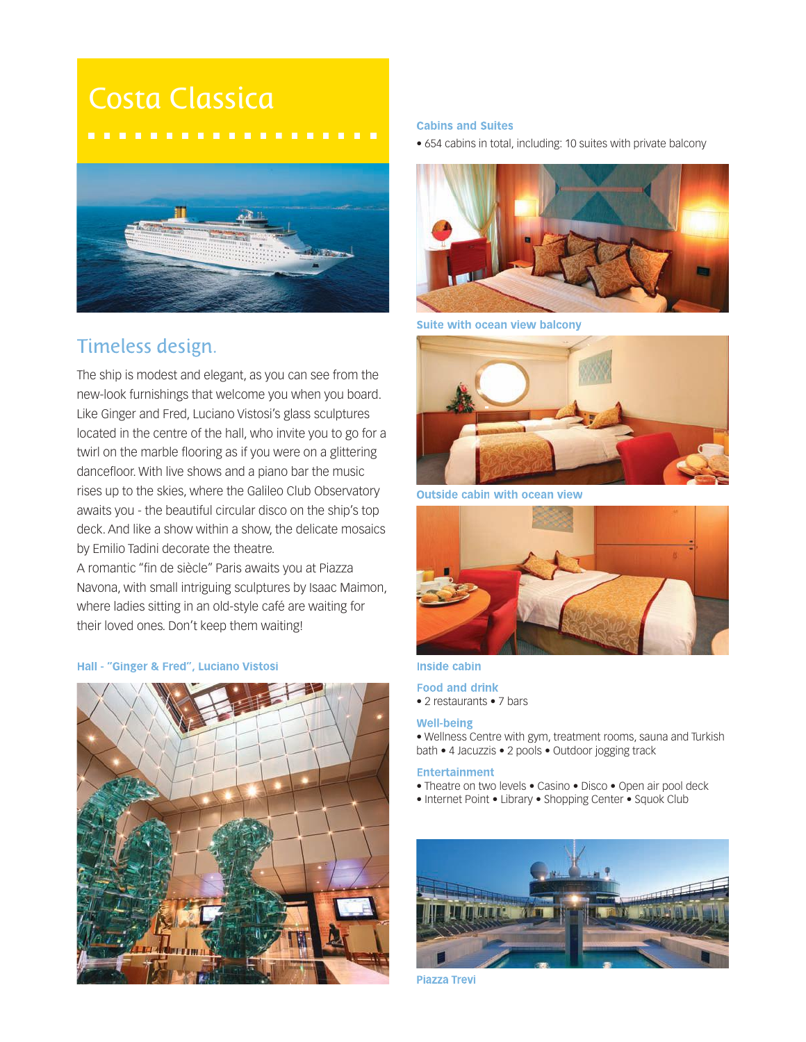# Costa Classica



## Timeless design.

The ship is modest and elegant, as you can see from the new-look furnishings that welcome you when you board. Like Ginger and Fred, Luciano Vistosi's glass sculptures located in the centre of the hall, who invite you to go for a twirl on the marble flooring as if you were on a glittering dancefloor. With live shows and a piano bar the music rises up to the skies, where the Galileo Club Observatory awaits you - the beautiful circular disco on the ship's top deck. And like a show within a show, the delicate mosaics by Emilio Tadini decorate the theatre.

A romantic "fin de siècle" Paris awaits you at Piazza Navona, with small intriguing sculptures by Isaac Maimon, where ladies sitting in an old-style café are waiting for their loved ones. Don't keep them waiting!

## Hall - "Ginger & Fred", Luciano Vistosi



## **Cabins and Suites**

• 654 cabins in total, including: 10 suites with private balcony



Suite with ocean view balcony



**Outside cabin with ocean view** 



## **Inside cabin**

## **Food and drink**

• 2 restaurants • 7 bars

## **Well-being**

• Wellness Centre with gym, treatment rooms, sauna and Turkish bath • 4 Jacuzzis • 2 pools • Outdoor jogging track

### **Entertainment**

- Theatre on two levels Casino Disco Open air pool deck
- Internet Point Library Shopping Center Squok Club



**Piazza Trevi**